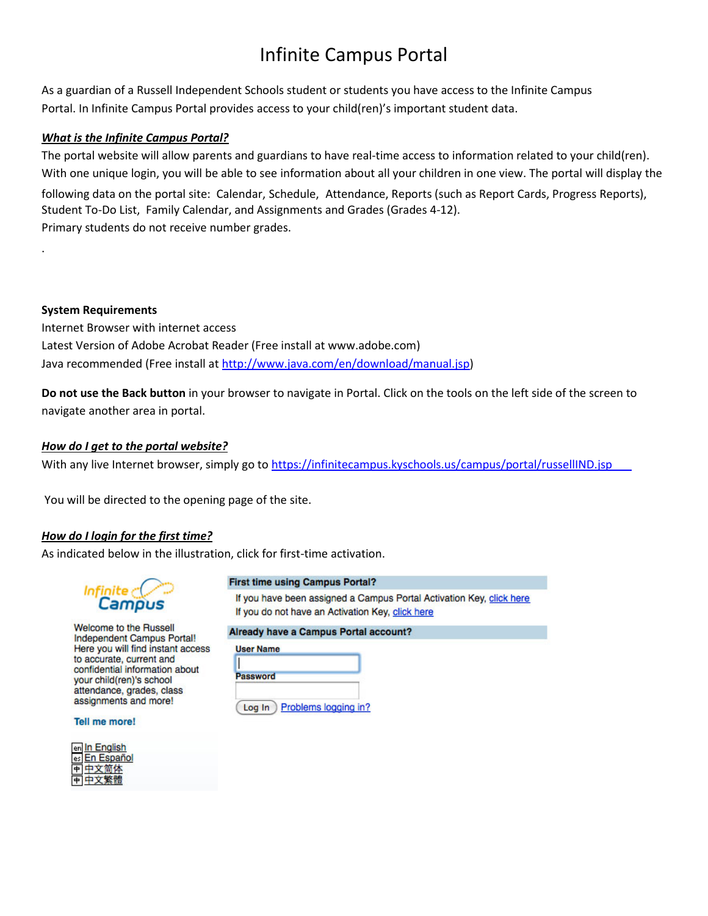# Infinite Campus Portal

As a guardian of a Russell Independent Schools student or students you have access to the Infinite Campus Portal. In Infinite Campus Portal provides access to your child(ren)'s important student data.

## *What is the Infinite Campus Portal?*

The portal website will allow parents and guardians to have real-time access to information related to your child(ren). With one unique login, you will be able to see information about all your children in one view. The portal will display the following data on the portal site: Calendar, Schedule, Attendance, Reports (such as Report Cards, Progress Reports), Student To-Do List, Family Calendar, and Assignments and Grades (Grades 4-12). Primary students do not receive number grades.

## **System Requirements**

.

Internet Browser with internet access Latest Version of Adobe Acrobat Reader (Free install at www.adobe.com) Java recommended (Free install at [http://www.java.com/en/download/manual.jsp\)](http://www.java.com/en/download/manual.jsp)

**Do not use the Back button** in your browser to navigate in Portal. Click on the tools on the left side of the screen to navigate another area in portal.

## *How do I get to the portal website?*

With any live Internet browser, simply go t[o https://infinitecampus.kyschools.us/campus/portal/](https://infinitecampus.kyschools.us/campus/portal/waltonverona.jsp)russellIND.jsp

You will be directed to the opening page of the site.

## *How do I login for the first time?*

As indicated below in the illustration, click for first-time activation.



#### **First time using Campus Portal?**

If you have been assigned a Campus Portal Activation Key, click here If you do not have an Activation Key, click here

Welcome to the Russell **Independent Campus Portal!** Here you will find instant access to accurate, current and confidential information about your child(ren)'s school attendance, grades, class assignments and more!

**Tell me more!** 

|   | en In English      |
|---|--------------------|
|   | es En Espa<br>·ñol |
| 中 |                    |
|   |                    |

#### Already have a Campus Portal account?

| <b>User Name</b> |  |
|------------------|--|
|                  |  |

| ssword |  |  |  |
|--------|--|--|--|
|        |  |  |  |
|        |  |  |  |

 $Log In)$ Problems logging in?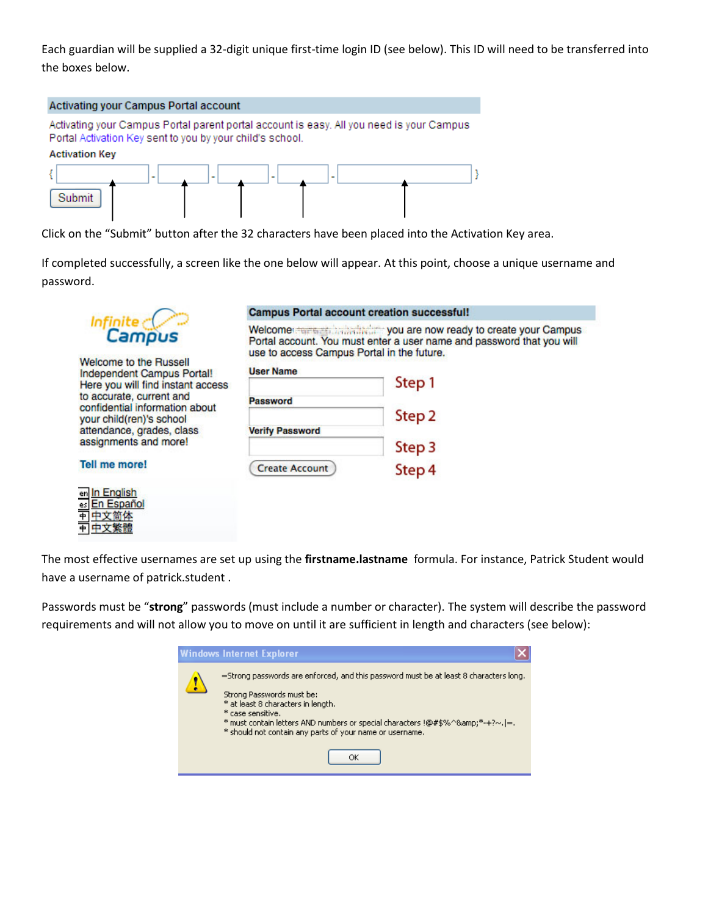Each guardian will be supplied a 32-digit unique first-time login ID (see below). This ID will need to be transferred into the boxes below.



Click on the "Submit" button after the 32 characters have been placed into the Activation Key area.

If completed successfully, a screen like the one below will appear. At this point, choose a unique username and password.



**Welcome to the Russell Independent Campus Portal!** Here you will find instant access to accurate, current and confidential information about your child(ren)'s school attendance, grades, class assignments and more!

**Tell me more!** 

| er | Engli<br>ic) |
|----|--------------|
|    | ٦<br>csc     |
|    |              |
|    |              |

## **Campus Portal account creation successful!**

Welcomer terms and individually you are now ready to create your Campus Portal account. You must enter a user name and password that you will use to access Campus Portal in the future.

| <b>User Name</b>       |                   |
|------------------------|-------------------|
|                        | Step 1            |
| <b>Password</b>        |                   |
|                        | Step <sub>2</sub> |
| <b>Verify Password</b> |                   |
|                        | Step 3            |
| <b>Create Account</b>  | Step 4            |

The most effective usernames are set up using the **firstname.lastname** formula. For instance, Patrick Student would have a username of patrick.student .

Passwords must be "**strong**" passwords (must include a number or character). The system will describe the password requirements and will not allow you to move on until it are sufficient in length and characters (see below):